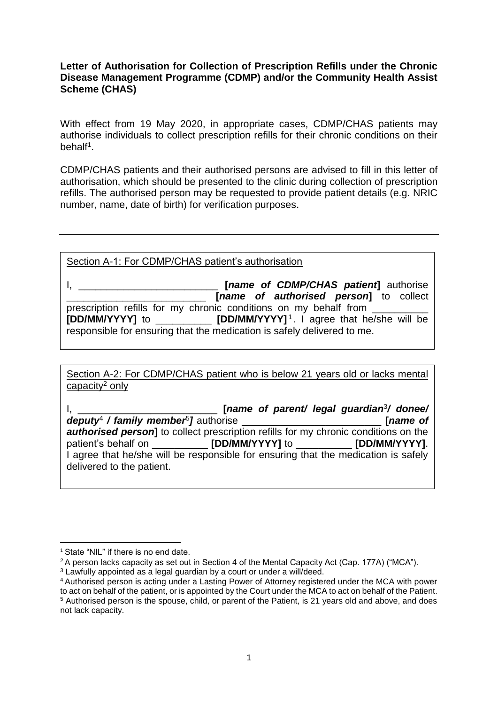## **Letter of Authorisation for Collection of Prescription Refills under the Chronic Disease Management Programme (CDMP) and/or the Community Health Assist Scheme (CHAS)**

With effect from 19 May 2020, in appropriate cases, CDMP/CHAS patients may authorise individuals to collect prescription refills for their chronic conditions on their behalf<sup>1</sup>.

CDMP/CHAS patients and their authorised persons are advised to fill in this letter of authorisation, which should be presented to the clinic during collection of prescription refills. The authorised person may be requested to provide patient details (e.g. NRIC number, name, date of birth) for verification purposes.

## Section A-1: For CDMP/CHAS patient's authorisation

I, \_\_\_\_\_\_\_\_\_\_\_\_\_\_\_\_\_\_\_\_\_\_\_\_\_ **[***name of CDMP/CHAS patient***]** authorise \_\_\_\_\_\_\_\_\_\_\_\_\_\_\_\_\_\_\_\_\_\_\_\_\_ **[***name of authorised person***]** to collect prescription refills for my chronic conditions on my behalf from **[DD/MM/YYYY]** to \_\_\_\_\_\_\_\_\_\_ **[DD/MM/YYYY]** <sup>1</sup> . I agree that he/she will be responsible for ensuring that the medication is safely delivered to me.

Section A-2: For CDMP/CHAS patient who is below 21 years old or lacks mental capacity<sup>2</sup> only

I, \_\_\_\_\_\_\_\_\_\_\_\_\_\_\_\_\_\_\_\_\_\_\_\_\_ **[***name of parent/ legal guardian*<sup>3</sup> */ donee/ deputy*<sup>4</sup> */ family member*<sup>5</sup> *]* authorise \_\_\_\_\_\_\_\_\_\_\_\_\_\_\_\_\_\_\_\_\_\_\_\_\_ **[***name of authorised person* to collect prescription refills for my chronic conditions on the patient's behalf on \_\_\_\_\_\_\_\_\_\_ **[DD/MM/YYYY]** to \_\_\_\_\_\_\_\_\_\_ **[DD/MM/YYYY]**. I agree that he/she will be responsible for ensuring that the medication is safely delivered to the patient.

**<sup>.</sup>** <sup>1</sup> State "NIL" if there is no end date.

<sup>2</sup>A person lacks capacity as set out in Section 4 of the Mental Capacity Act (Cap. 177A) ("MCA").

<sup>&</sup>lt;sup>3</sup> Lawfully appointed as a legal guardian by a court or under a will/deed.

<sup>4</sup>Authorised person is acting under a Lasting Power of Attorney registered under the MCA with power to act on behalf of the patient, or is appointed by the Court under the MCA to act on behalf of the Patient. <sup>5</sup> Authorised person is the spouse, child, or parent of the Patient, is 21 years old and above, and does not lack capacity.